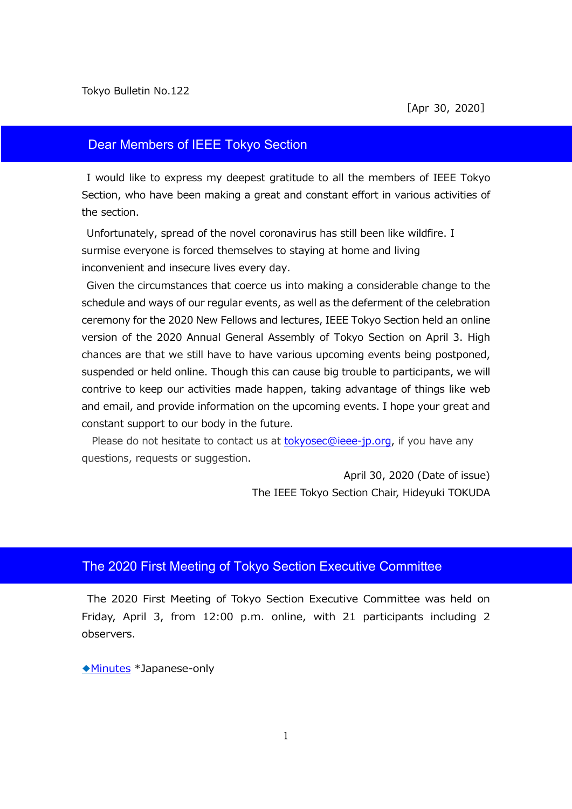## Dear Members of IEEE Tokyo Section

I would like to express my deepest gratitude to all the members of IEEE Tokyo Section, who have been making a great and constant effort in various activities of the section.

Unfortunately, spread of the novel coronavirus has still been like wildfire. I surmise everyone is forced themselves to staying at home and living inconvenient and insecure lives every day.

Given the circumstances that coerce us into making a considerable change to the schedule and ways of our regular events, as well as the deferment of the celebration ceremony for the 2020 New Fellows and lectures, IEEE Tokyo Section held an online version of the 2020 Annual General Assembly of Tokyo Section on April 3. High chances are that we still have to have various upcoming events being postponed, suspended or held online. Though this can cause big trouble to participants, we will contrive to keep our activities made happen, taking advantage of things like web and email, and provide information on the upcoming events. I hope your great and constant support to our body in the future.

Please do not hesitate to contact us at [tokyosec@ieee-jp.org,](mailto:tokyosec@ieee-jp.org) if you have any questions, requests or suggestion.

> April 30, 2020 (Date of issue) The IEEE Tokyo Section Chair, Hideyuki TOKUDA

# The 2020 First Meeting of Tokyo Section Executive Committee

The 2020 First Meeting of Tokyo Section Executive Committee was held on Friday, April 3, from 12:00 p.m. online, with 21 participants including 2 observers.

◆[Minutes](https://www.ieee-jp.org/section/tokyo/adm/agenda/giji20-1.pdf) \*Japanese-only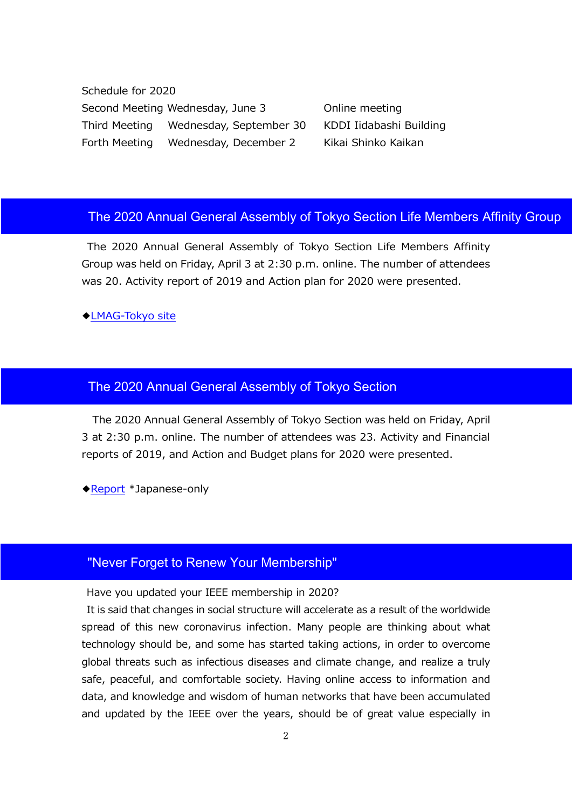Schedule for 2020 Second Meeting Wednesday, June 3 Online meeting Third Meeting Wednesday, September 30 KDDI Iidabashi Building Forth Meeting Wednesday, December 2 Kikai Shinko Kaikan

## The 2020 Annual General Assembly of Tokyo Section Life Members Affinity Group

The 2020 Annual General Assembly of Tokyo Section Life Members Affinity Group was held on Friday, April 3 at 2:30 p.m. online. The number of attendees was 20. Activity report of 2019 and Action plan for 2020 were presented.

◆[LMAG-Tokyo](https://ieee-jp.org/section/tokyo/en/about/lmag.html) site

#### The 2020 Annual General Assembly of Tokyo Section

The 2020 Annual General Assembly of Tokyo Section was held on Friday, April 3 at 2:30 p.m. online. The number of attendees was 23. Activity and Financial reports of 2019, and Action and Budget plans for 2020 were presented.

◆[Report](https://ieee-jp.org/section/tokyo/report/report/2020soukai.html) \*Japanese-only

## "Never Forget to Renew Your Membership"

Have you updated your IEEE membership in 2020?

It is said that changes in social structure will accelerate as a result of the worldwide spread of this new coronavirus infection. Many people are thinking about what technology should be, and some has started taking actions, in order to overcome global threats such as infectious diseases and climate change, and realize a truly safe, peaceful, and comfortable society. Having online access to information and data, and knowledge and wisdom of human networks that have been accumulated and updated by the IEEE over the years, should be of great value especially in